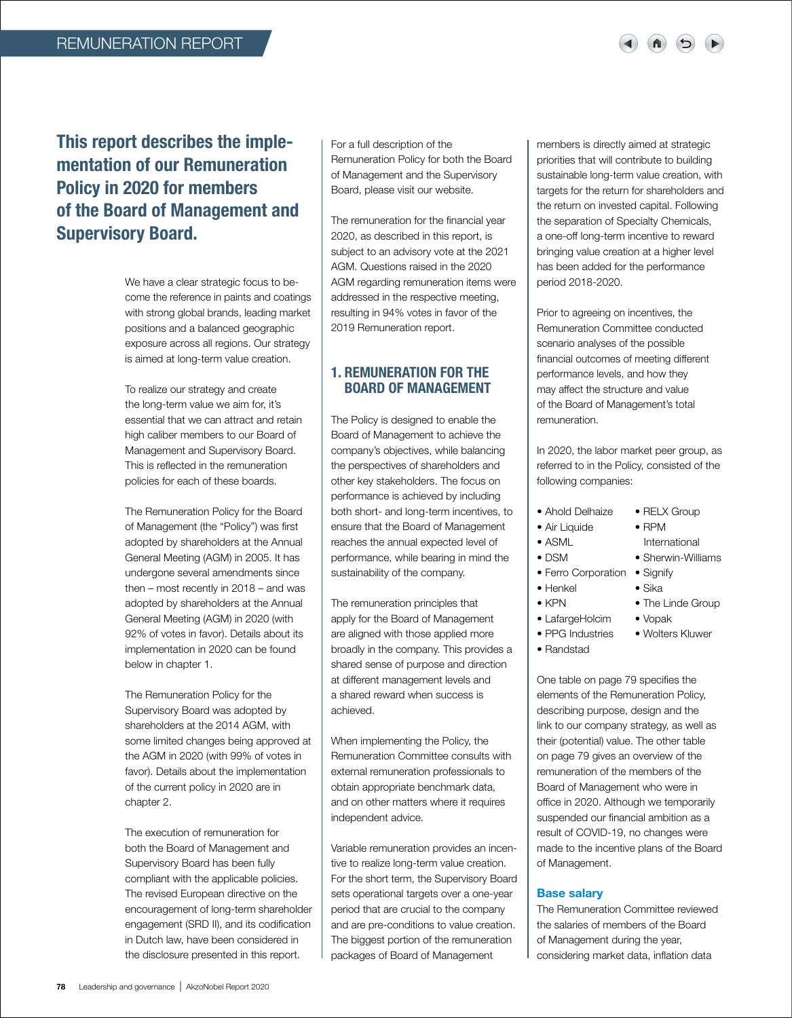# This report describes the implementation of our Remuneration Policy in 2020 for members of the Board of Management and Supervisory Board.

We have a clear strategic focus to become the reference in paints and coatings with strong global brands, leading market positions and a balanced geographic exposure across all regions. Our strategy is aimed at long-term value creation.

To realize our strategy and create the long-term value we aim for, it's essential that we can attract and retain high caliber members to our Board of Management and Supervisory Board. This is reflected in the remuneration policies for each of these boards.

The Remuneration Policy for the Board of Management (the "Policy") was first adopted by shareholders at the Annual General Meeting (AGM) in 2005. It has undergone several amendments since then – most recently in 2018 – and was adopted by shareholders at the Annual General Meeting (AGM) in 2020 (with 92% of votes in favor). Details about its implementation in 2020 can be found below in chapter 1.

The Remuneration Policy for the Supervisory Board was adopted by shareholders at the 2014 AGM, with some limited changes being approved at the AGM in 2020 (with 99% of votes in favor). Details about the implementation of the current policy in 2020 are in chapter 2.

The execution of remuneration for both the Board of Management and Supervisory Board has been fully compliant with the applicable policies. The revised European directive on the encouragement of long-term shareholder engagement (SRD II), and its codification in Dutch law, have been considered in the disclosure presented in this report.

For a full description of the Remuneration Policy for both the Board of Management and the Supervisory Board, please visit our website.

The remuneration for the financial year 2020, as described in this report, is subject to an advisory vote at the 2021 AGM. Questions raised in the 2020 AGM regarding remuneration items were addressed in the respective meeting, resulting in 94% votes in favor of the 2019 Remuneration report.

## 1. REMUNERATION FOR THE BOARD OF MANAGEMENT

The Policy is designed to enable the Board of Management to achieve the company's objectives, while balancing the perspectives of shareholders and other key stakeholders. The focus on performance is achieved by including both short- and long-term incentives, to ensure that the Board of Management reaches the annual expected level of performance, while bearing in mind the sustainability of the company.

The remuneration principles that apply for the Board of Management are aligned with those applied more broadly in the company. This provides a shared sense of purpose and direction at different management levels and a shared reward when success is achieved.

When implementing the Policy, the Remuneration Committee consults with external remuneration professionals to obtain appropriate benchmark data, and on other matters where it requires independent advice.

Variable remuneration provides an incentive to realize long-term value creation. For the short term, the Supervisory Board sets operational targets over a one-year period that are crucial to the company and are pre-conditions to value creation. The biggest portion of the remuneration packages of Board of Management

members is directly aimed at strategic priorities that will contribute to building sustainable long-term value creation, with targets for the return for shareholders and the return on invested capital. Following the separation of Specialty Chemicals, a one-off long-term incentive to reward bringing value creation at a higher level has been added for the performance period 2018-2020.

Prior to agreeing on incentives, the Remuneration Committee conducted scenario analyses of the possible financial outcomes of meeting different performance levels, and how they may affect the structure and value of the Board of Management's total remuneration.

In 2020, the labor market peer group, as referred to in the Policy, consisted of the following companies:

- Ahold Delhaize RELX Group
- Air Liquide RPM
- ASML International
- DSM Sherwin-Williams
- Ferro Corporation Signify
- Henkel Sika
- KPN The Linde Group
- LafargeHolcim Vopak

• Randstad

• PPG Industries • Wolters Kluwer

One table on page 79 specifies the elements of the Remuneration Policy, describing purpose, design and the link to our company strategy, as well as their (potential) value. The other table on page 79 gives an overview of the remuneration of the members of the Board of Management who were in office in 2020. Although we temporarily suspended our financial ambition as a result of COVID-19, no changes were made to the incentive plans of the Board of Management.

## Base salary

The Remuneration Committee reviewed the salaries of members of the Board of Management during the year, considering market data, inflation data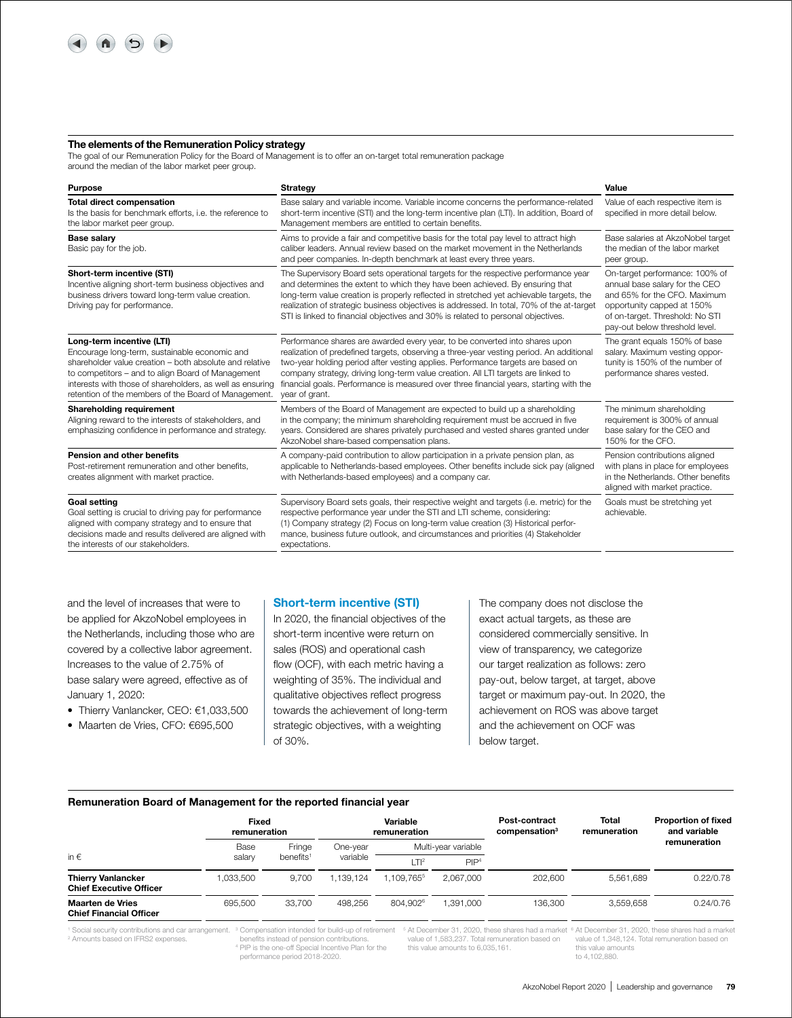

#### The elements of the Remuneration Policy strategy

The goal of our Remuneration Policy for the Board of Management is to offer an on-target total remuneration package around the median of the labor market peer group.

| <b>Purpose</b>                                                                                                                                                                                                                                                                                                  | Strategy                                                                                                                                                                                                                                                                                                                                                                                                                                                   | Value                                                                                                                                                                                               |
|-----------------------------------------------------------------------------------------------------------------------------------------------------------------------------------------------------------------------------------------------------------------------------------------------------------------|------------------------------------------------------------------------------------------------------------------------------------------------------------------------------------------------------------------------------------------------------------------------------------------------------------------------------------------------------------------------------------------------------------------------------------------------------------|-----------------------------------------------------------------------------------------------------------------------------------------------------------------------------------------------------|
| <b>Total direct compensation</b><br>Is the basis for benchmark efforts, i.e. the reference to<br>the labor market peer group.                                                                                                                                                                                   | Base salary and variable income. Variable income concerns the performance-related<br>short-term incentive (STI) and the long-term incentive plan (LTI). In addition, Board of<br>Management members are entitled to certain benefits.                                                                                                                                                                                                                      | Value of each respective item is<br>specified in more detail below.                                                                                                                                 |
| <b>Base salary</b><br>Basic pay for the job.                                                                                                                                                                                                                                                                    | Aims to provide a fair and competitive basis for the total pay level to attract high<br>caliber leaders. Annual review based on the market movement in the Netherlands<br>and peer companies. In-depth benchmark at least every three years.                                                                                                                                                                                                               | Base salaries at AkzoNobel target<br>the median of the labor market<br>peer group.                                                                                                                  |
| Short-term incentive (STI)<br>Incentive aligning short-term business objectives and<br>business drivers toward long-term value creation.<br>Driving pay for performance.                                                                                                                                        | The Supervisory Board sets operational targets for the respective performance year<br>and determines the extent to which they have been achieved. By ensuring that<br>long-term value creation is properly reflected in stretched yet achievable targets, the<br>realization of strategic business objectives is addressed. In total, 70% of the at-target<br>STI is linked to financial objectives and 30% is related to personal objectives.             | On-target performance: 100% of<br>annual base salary for the CEO<br>and 65% for the CFO. Maximum<br>opportunity capped at 150%<br>of on-target. Threshold: No STI<br>pay-out below threshold level. |
| Long-term incentive (LTI)<br>Encourage long-term, sustainable economic and<br>shareholder value creation - both absolute and relative<br>to competitors - and to align Board of Management<br>interests with those of shareholders, as well as ensuring<br>retention of the members of the Board of Management. | Performance shares are awarded every year, to be converted into shares upon<br>realization of predefined targets, observing a three-year vesting period. An additional<br>two-year holding period after vesting applies. Performance targets are based on<br>company strategy, driving long-term value creation. All LTI targets are linked to<br>financial goals. Performance is measured over three financial years, starting with the<br>year of grant. | The grant equals 150% of base<br>salary. Maximum vesting oppor-<br>tunity is 150% of the number of<br>performance shares vested.                                                                    |
| Shareholding requirement<br>Aligning reward to the interests of stakeholders, and<br>emphasizing confidence in performance and strategy.                                                                                                                                                                        | Members of the Board of Management are expected to build up a shareholding<br>in the company; the minimum shareholding requirement must be accrued in five<br>years. Considered are shares privately purchased and vested shares granted under<br>AkzoNobel share-based compensation plans.                                                                                                                                                                | The minimum shareholding<br>requirement is 300% of annual<br>base salary for the CEO and<br>150% for the CFO.                                                                                       |
| <b>Pension and other benefits</b><br>Post-retirement remuneration and other benefits.<br>creates alignment with market practice.                                                                                                                                                                                | A company-paid contribution to allow participation in a private pension plan, as<br>applicable to Netherlands-based employees. Other benefits include sick pay (aligned<br>with Netherlands-based employees) and a company car.                                                                                                                                                                                                                            | Pension contributions aligned<br>with plans in place for employees<br>in the Netherlands. Other benefits<br>aligned with market practice.                                                           |
| <b>Goal setting</b><br>Goal setting is crucial to driving pay for performance<br>aligned with company strategy and to ensure that<br>decisions made and results delivered are aligned with<br>the interests of our stakeholders.                                                                                | Supervisory Board sets goals, their respective weight and targets (i.e. metric) for the<br>respective performance year under the STI and LTI scheme, considering:<br>(1) Company strategy (2) Focus on long-term value creation (3) Historical perfor-<br>mance, business future outlook, and circumstances and priorities (4) Stakeholder<br>expectations.                                                                                                | Goals must be stretching yet<br>achievable.                                                                                                                                                         |

and the level of increases that were to be applied for AkzoNobel employees in the Netherlands, including those who are covered by a collective labor agreement. Increases to the value of 2.75% of base salary were agreed, effective as of January 1, 2020:

- Thierry Vanlancker, CEO: €1,033,500
- Maarten de Vries, CFO: €695,500

#### Short-term incentive (STI)

In 2020, the financial objectives of the short-term incentive were return on sales (ROS) and operational cash flow (OCF), with each metric having a weighting of 35%. The individual and qualitative objectives reflect progress towards the achievement of long-term strategic objectives, with a weighting of 30%.

The company does not disclose the exact actual targets, as these are considered commercially sensitive. In view of transparency, we categorize our target realization as follows: zero pay-out, below target, at target, above target or maximum pay-out. In 2020, the achievement on ROS was above target and the achievement on OCF was below target.

## Remuneration Board of Management for the reported financial year

|                                                             |           | Fixed<br>remuneration |           | Variable<br>remuneration |                  | Post-contract<br>compensation <sup>3</sup> | Total<br>remuneration | <b>Proportion of fixed</b><br>and variable<br>remuneration |
|-------------------------------------------------------------|-----------|-----------------------|-----------|--------------------------|------------------|--------------------------------------------|-----------------------|------------------------------------------------------------|
| in $\epsilon$                                               | Base      | Fringe                | One-vear  | Multi-year variable      |                  |                                            |                       |                                                            |
|                                                             | salary    | benefits <sup>1</sup> | variable  | TTI <sup>2</sup>         | PIP <sup>4</sup> |                                            |                       |                                                            |
| <b>Thierry Vanlancker</b><br><b>Chief Executive Officer</b> | 1.033.500 | 9.700                 | 1.139.124 | 1.109.765                | 2.067.000        | 202,600                                    | 5.561.689             | 0.22/0.78                                                  |
| <b>Maarten de Vries</b><br><b>Chief Financial Officer</b>   | 695.500   | 33,700                | 498.256   | 804.9026                 | .391.000         | 136.300                                    | 3.559.658             | 0.24/0.76                                                  |

2 Amounts based on IFRS2 expenses.

benefits instead of pension contributions. <sup>4</sup> PIP is the one-off Special Incentive Plan for the performance period 2018-2020.

value of 1,583,237. Total remuneration based on this value amounts to 6,035,161.

<sup>1</sup> Social security contributions and car arrangement. <sup>3</sup> Compensation intended for build-up of retirement <sup>5</sup> At December 31, 2020, these shares had a market <sup>6</sup> At December 31, 2020, these shares had a market value of 1,348,124. Total remuneration based on this value amounts to 4,102,880.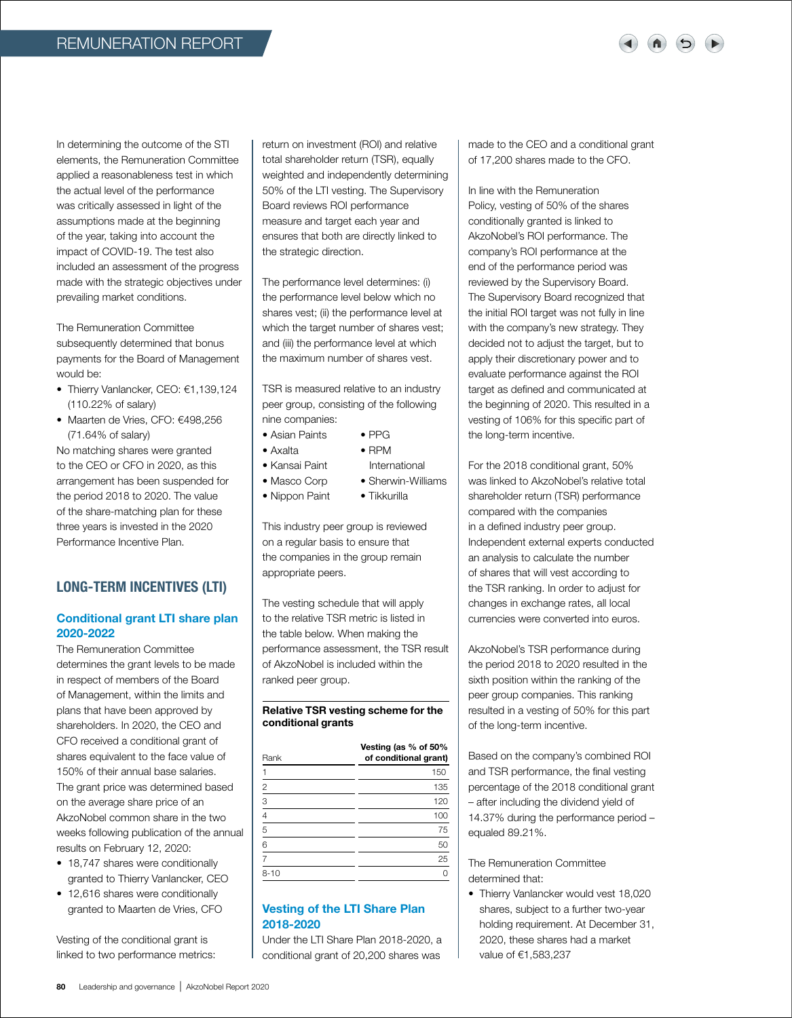In determining the outcome of the STI elements, the Remuneration Committee applied a reasonableness test in which the actual level of the performance was critically assessed in light of the assumptions made at the beginning of the year, taking into account the impact of COVID-19. The test also included an assessment of the progress made with the strategic objectives under prevailing market conditions.

The Remuneration Committee subsequently determined that bonus payments for the Board of Management would be:

- Thierry Vanlancker, CEO: €1,139,124 (110.22% of salary)
- Maarten de Vries, CFO: €498,256 (71.64% of salary)

No matching shares were granted to the CEO or CFO in 2020, as this arrangement has been suspended for the period 2018 to 2020. The value of the share-matching plan for these three years is invested in the 2020 Performance Incentive Plan.

## LONG-TERM INCENTIVES (LTI)

## Conditional grant LTI share plan 2020-2022

The Remuneration Committee determines the grant levels to be made in respect of members of the Board of Management, within the limits and plans that have been approved by shareholders. In 2020, the CEO and CFO received a conditional grant of shares equivalent to the face value of 150% of their annual base salaries. The grant price was determined based on the average share price of an AkzoNobel common share in the two weeks following publication of the annual results on February 12, 2020:

- 18,747 shares were conditionally granted to Thierry Vanlancker, CEO
- 12,616 shares were conditionally granted to Maarten de Vries, CFO

Vesting of the conditional grant is linked to two performance metrics: return on investment (ROI) and relative total shareholder return (TSR), equally weighted and independently determining 50% of the LTI vesting. The Supervisory Board reviews ROI performance measure and target each year and ensures that both are directly linked to the strategic direction.

The performance level determines: (i) the performance level below which no shares vest; (ii) the performance level at which the target number of shares vest; and (iii) the performance level at which the maximum number of shares vest.

TSR is measured relative to an industry peer group, consisting of the following nine companies:

- Asian Paints PPG
- Axalta RPM
- Kansai Paint International
- Masco Corp Sherwin-Williams
- Nippon Paint Tikkurilla
	-

This industry peer group is reviewed on a regular basis to ensure that the companies in the group remain appropriate peers.

The vesting schedule that will apply to the relative TSR metric is listed in the table below. When making the performance assessment, the TSR result of AkzoNobel is included within the ranked peer group.

#### Relative TSR vesting scheme for the conditional grants

| Rank           | Vesting (as % of 50%<br>of conditional grant) |
|----------------|-----------------------------------------------|
|                | 150                                           |
| $\overline{c}$ | 135                                           |
| 3              | 120                                           |
|                | 100                                           |
| 5              | 75                                            |
| 6              | 50                                            |
|                | 25                                            |
| $8 - 10$       |                                               |

### Vesting of the LTI Share Plan 2018-2020

Under the LTI Share Plan 2018-2020, a conditional grant of 20,200 shares was

made to the CEO and a conditional grant of 17,200 shares made to the CFO.

In line with the Remuneration Policy, vesting of 50% of the shares conditionally granted is linked to AkzoNobel's ROI performance. The company's ROI performance at the end of the performance period was reviewed by the Supervisory Board. The Supervisory Board recognized that the initial ROI target was not fully in line with the company's new strategy. They decided not to adjust the target, but to apply their discretionary power and to evaluate performance against the ROI target as defined and communicated at the beginning of 2020. This resulted in a vesting of 106% for this specific part of the long-term incentive.

For the 2018 conditional grant, 50% was linked to AkzoNobel's relative total shareholder return (TSR) performance compared with the companies in a defined industry peer group. Independent external experts conducted an analysis to calculate the number of shares that will vest according to the TSR ranking. In order to adjust for changes in exchange rates, all local currencies were converted into euros.

AkzoNobel's TSR performance during the period 2018 to 2020 resulted in the sixth position within the ranking of the peer group companies. This ranking resulted in a vesting of 50% for this part of the long-term incentive.

Based on the company's combined ROI and TSR performance, the final vesting percentage of the 2018 conditional grant – after including the dividend yield of 14.37% during the performance period – equaled 89.21%.

The Remuneration Committee determined that:

• Thierry Vanlancker would vest 18,020 shares, subject to a further two-year holding requirement. At December 31, 2020, these shares had a market value of €1,583,237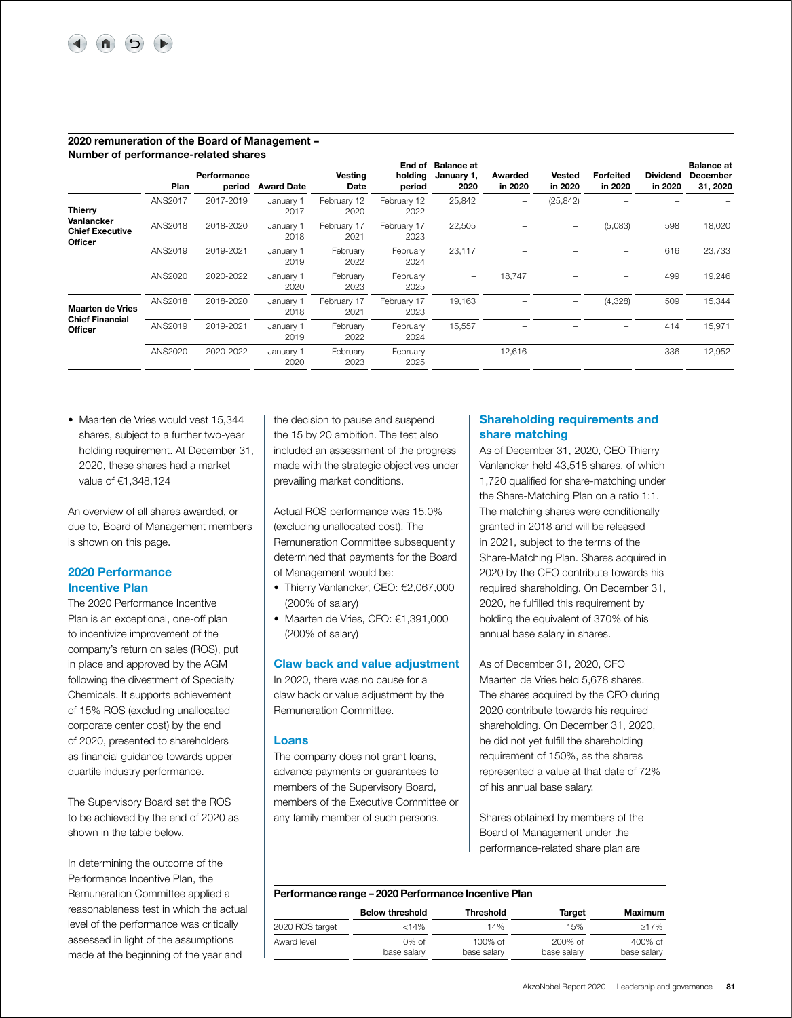#### 2020 remuneration of the Board of Management – Number of performance-related shares

| Number of performance-related shares            | Plan    | Performance<br>period | <b>Award Date</b> | Vesting<br>Date     | End of<br>holding<br>period | <b>Balance at</b><br>January 1,<br>2020 | Awarded<br>in 2020 | Vested<br>in 2020 | Forfeited<br>in 2020 | <b>Dividend</b><br>in 2020 | <b>Balance at</b><br><b>December</b><br>31, 2020 |
|-------------------------------------------------|---------|-----------------------|-------------------|---------------------|-----------------------------|-----------------------------------------|--------------------|-------------------|----------------------|----------------------------|--------------------------------------------------|
| <b>Thierry</b>                                  | ANS2017 | 2017-2019             | January 1<br>2017 | February 12<br>2020 | February 12<br>2022         | 25,842                                  |                    | (25, 842)         |                      |                            |                                                  |
| Vanlancker<br><b>Chief Executive</b><br>Officer | ANS2018 | 2018-2020             | January 1<br>2018 | February 17<br>2021 | February 17<br>2023         | 22,505                                  |                    |                   | (5,083)              | 598                        | 18,020                                           |
|                                                 | ANS2019 | 2019-2021             | January 1<br>2019 | February<br>2022    | February<br>2024            | 23,117                                  |                    |                   |                      | 616                        | 23,733                                           |
|                                                 | ANS2020 | 2020-2022             | January 1<br>2020 | February<br>2023    | February<br>2025            | $\qquad \qquad -$                       | 18.747             |                   |                      | 499                        | 19,246                                           |
| <b>Maarten de Vries</b>                         | ANS2018 | 2018-2020             | January 1<br>2018 | February 17<br>2021 | February 17<br>2023         | 19,163                                  |                    |                   | (4,328)              | 509                        | 15,344                                           |
| <b>Chief Financial</b><br>Officer               | ANS2019 | 2019-2021             | January 1<br>2019 | February<br>2022    | February<br>2024            | 15,557                                  |                    |                   |                      | 414                        | 15,971                                           |
|                                                 | ANS2020 | 2020-2022             | January 1<br>2020 | February<br>2023    | February<br>2025            | $\qquad \qquad$                         | 12,616             |                   |                      | 336                        | 12,952                                           |

• Maarten de Vries would vest 15,344 shares, subject to a further two-year holding requirement. At December 31, 2020, these shares had a market value of €1,348,124

An overview of all shares awarded, or due to, Board of Management members is shown on this page.

## 2020 Performance Incentive Plan

The 2020 Performance Incentive Plan is an exceptional, one-off plan to incentivize improvement of the company's return on sales (ROS), put in place and approved by the AGM following the divestment of Specialty Chemicals. It supports achievement of 15% ROS (excluding unallocated corporate center cost) by the end of 2020, presented to shareholders as financial guidance towards upper quartile industry performance.

The Supervisory Board set the ROS to be achieved by the end of 2020 as shown in the table below.

In determining the outcome of the Performance Incentive Plan, the Remuneration Committee applied a reasonableness test in which the actual level of the performance was critically assessed in light of the assumptions made at the beginning of the year and

the decision to pause and suspend the 15 by 20 ambition. The test also included an assessment of the progress made with the strategic objectives under prevailing market conditions.

Actual ROS performance was 15.0% (excluding unallocated cost). The Remuneration Committee subsequently determined that payments for the Board of Management would be:

- Thierry Vanlancker, CEO: €2,067,000 (200% of salary)
- Maarten de Vries, CFO: €1,391,000 (200% of salary)

#### Claw back and value adjustment

In 2020, there was no cause for a claw back or value adjustment by the Remuneration Committee.

#### Loans

The company does not grant loans, advance payments or guarantees to members of the Supervisory Board, members of the Executive Committee or any family member of such persons.

## Shareholding requirements and share matching

As of December 31, 2020, CEO Thierry Vanlancker held 43,518 shares, of which 1,720 qualified for share-matching under the Share-Matching Plan on a ratio 1:1. The matching shares were conditionally granted in 2018 and will be released in 2021, subject to the terms of the Share-Matching Plan. Shares acquired in 2020 by the CEO contribute towards his required shareholding. On December 31, 2020, he fulfilled this requirement by holding the equivalent of 370% of his annual base salary in shares.

As of December 31, 2020, CFO Maarten de Vries held 5,678 shares. The shares acquired by the CFO during 2020 contribute towards his required shareholding. On December 31, 2020, he did not yet fulfill the shareholding requirement of 150%, as the shares represented a value at that date of 72% of his annual base salary.

Shares obtained by members of the Board of Management under the performance-related share plan are

#### Performance range – 2020 Performance Incentive Plan

|                 | <b>Below threshold</b> | Threshold   | Target      | Maximum     |
|-----------------|------------------------|-------------|-------------|-------------|
| 2020 ROS target | < 14%                  | 14%         | 15%         | >17%        |
| Award level     | $0\%$ of               | $100\%$ of  | $200\%$ of  | $400\%$ of  |
|                 | base salary            | base salary | base salary | base salary |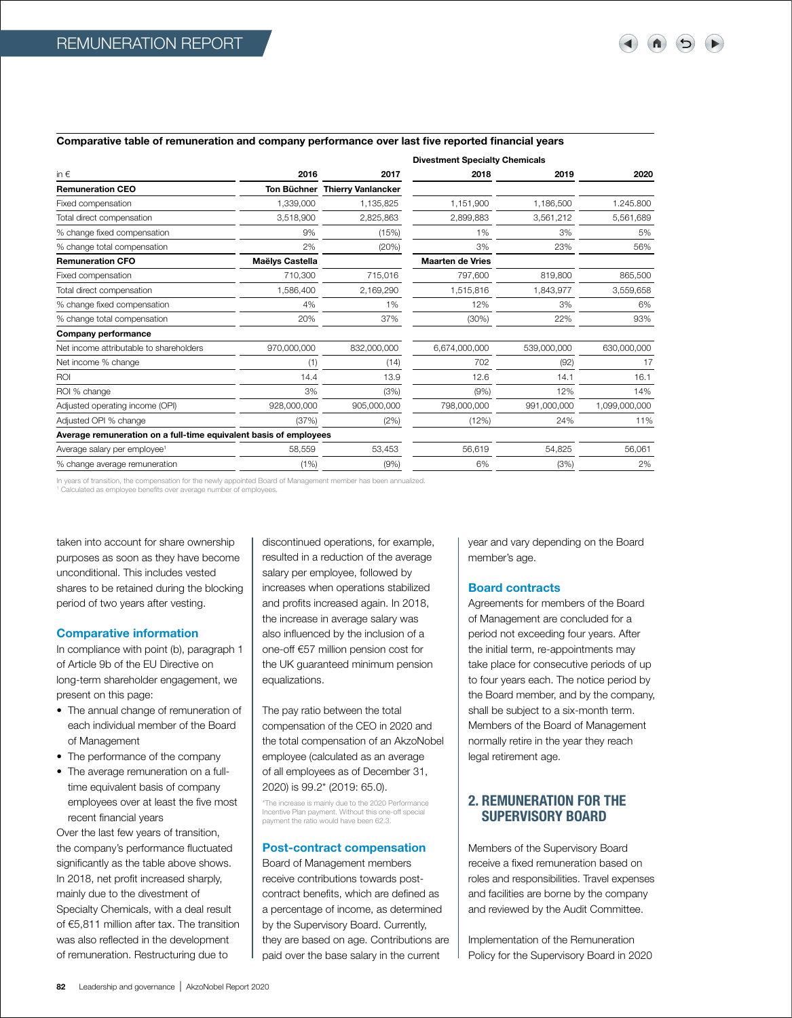#### Comparative table of remuneration and company performance over last five reported financial years

|                                                                   |                 |                                | <b>Divestment Specialty Chemicals</b> |             |               |
|-------------------------------------------------------------------|-----------------|--------------------------------|---------------------------------------|-------------|---------------|
| in $\epsilon$                                                     | 2016            | 2017                           | 2018                                  | 2019        | 2020          |
| <b>Remuneration CEO</b>                                           |                 | Ton Büchner Thierry Vanlancker |                                       |             |               |
| Fixed compensation                                                | 1,339,000       | 1,135,825                      | 1,151,900                             | 1,186,500   | 1.245.800     |
| Total direct compensation                                         | 3,518,900       | 2,825,863                      | 2,899,883                             | 3,561,212   | 5,561,689     |
| % change fixed compensation                                       | 9%              | (15%)                          | 1%                                    | 3%          | 5%            |
| % change total compensation                                       | 2%              | (20%)                          | 3%                                    | 23%         | 56%           |
| <b>Remuneration CFO</b>                                           | Maëlys Castella |                                | <b>Maarten de Vries</b>               |             |               |
| Fixed compensation                                                | 710,300         | 715,016                        | 797,600                               | 819,800     | 865,500       |
| Total direct compensation                                         | 1,586,400       | 2,169,290                      | 1,515,816                             | 1.843.977   | 3,559,658     |
| % change fixed compensation                                       | 4%              | 1%                             | 12%                                   | 3%          | 6%            |
| % change total compensation                                       | 20%             | 37%                            | (30%)                                 | 22%         | 93%           |
| Company performance                                               |                 |                                |                                       |             |               |
| Net income attributable to shareholders                           | 970,000,000     | 832,000,000                    | 6,674,000,000                         | 539,000,000 | 630,000,000   |
| Net income % change                                               | (1)             | (14)                           | 702                                   | (92)        | 17            |
| ROI                                                               | 14.4            | 13.9                           | 12.6                                  | 14.1        | 16.1          |
| ROI % change                                                      | 3%              | (3%)                           | (9%)                                  | 12%         | 14%           |
| Adjusted operating income (OPI)                                   | 928,000,000     | 905,000,000                    | 798,000,000                           | 991,000,000 | 1,099,000,000 |
| Adjusted OPI % change                                             | (37%)           | (2%)                           | (12%)                                 | 24%         | 11%           |
| Average remuneration on a full-time equivalent basis of employees |                 |                                |                                       |             |               |
| Average salary per employee <sup>1</sup>                          | 58,559          | 53,453                         | 56,619                                | 54,825      | 56,061        |
| % change average remuneration                                     | (1% )           | (9%)                           | 6%                                    | (3%)        | 2%            |
|                                                                   |                 |                                |                                       |             |               |

In years of transition, the compensation for the newly appointed Board of Management member has been annualized.

Calculated as employee benefits over average number of employees.

taken into account for share ownership purposes as soon as they have become unconditional. This includes vested shares to be retained during the blocking period of two years after vesting.

#### Comparative information

In compliance with point (b), paragraph 1 of Article 9b of the EU Directive on long-term shareholder engagement, we present on this page:

- The annual change of remuneration of each individual member of the Board of Management
- The performance of the company
- The average remuneration on a fulltime equivalent basis of company employees over at least the five most recent financial years

Over the last few years of transition, the company's performance fluctuated significantly as the table above shows. In 2018, net profit increased sharply, mainly due to the divestment of Specialty Chemicals, with a deal result of €5,811 million after tax. The transition was also reflected in the development of remuneration. Restructuring due to

discontinued operations, for example, resulted in a reduction of the average salary per employee, followed by increases when operations stabilized and profits increased again. In 2018, the increase in average salary was also influenced by the inclusion of a one-off €57 million pension cost for the UK guaranteed minimum pension equalizations.

The pay ratio between the total compensation of the CEO in 2020 and the total compensation of an AkzoNobel employee (calculated as an average of all employees as of December 31, 2020) is 99.2\* (2019: 65.0).

\*The increase is mainly due to the 2020 Performance Incentive Plan payment. Without this one-off special payment the ratio would have been 62.3.

## Post-contract compensation

Board of Management members receive contributions towards postcontract benefits, which are defined as a percentage of income, as determined by the Supervisory Board. Currently, they are based on age. Contributions are paid over the base salary in the current

year and vary depending on the Board member's age.

#### Board contracts

Agreements for members of the Board of Management are concluded for a period not exceeding four years. After the initial term, re-appointments may take place for consecutive periods of up to four years each. The notice period by the Board member, and by the company, shall be subject to a six-month term. Members of the Board of Management normally retire in the year they reach legal retirement age.

## 2. REMUNERATION FOR THE SUPERVISORY BOARD

Members of the Supervisory Board receive a fixed remuneration based on roles and responsibilities. Travel expenses and facilities are borne by the company and reviewed by the Audit Committee.

Implementation of the Remuneration Policy for the Supervisory Board in 2020